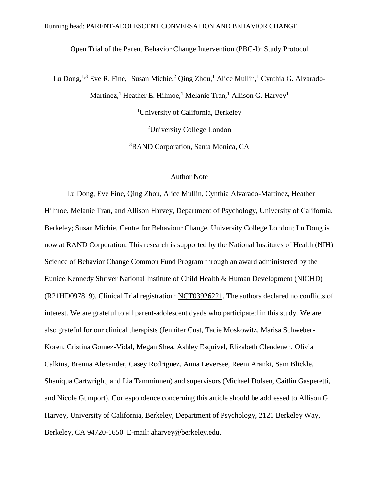Open Trial of the Parent Behavior Change Intervention (PBC-I): Study Protocol

Lu Dong,<sup>1,3</sup> Eve R. Fine,<sup>1</sup> Susan Michie,<sup>2</sup> Qing Zhou,<sup>1</sup> Alice Mullin,<sup>1</sup> Cynthia G. Alvarado-Martinez,<sup>1</sup> Heather E. Hilmoe,<sup>1</sup> Melanie Tran,<sup>1</sup> Allison G. Harvey<sup>1</sup> <sup>1</sup>University of California, Berkeley <sup>2</sup>University College London <sup>3</sup>RAND Corporation, Santa Monica, CA

# Author Note

Lu Dong, Eve Fine, Qing Zhou, Alice Mullin, Cynthia Alvarado-Martinez, Heather Hilmoe, Melanie Tran, and Allison Harvey, Department of Psychology, University of California, Berkeley; Susan Michie, Centre for Behaviour Change, University College London; Lu Dong is now at RAND Corporation. This research is supported by the National Institutes of Health (NIH) Science of Behavior Change Common Fund Program through an award administered by the Eunice Kennedy Shriver National Institute of Child Health & Human Development (NICHD) (R21HD097819). Clinical Trial registration: [NCT03926221.](https://clinicaltrials.gov/ct2/show/NCT03926221) The authors declared no conflicts of interest. We are grateful to all parent-adolescent dyads who participated in this study. We are also grateful for our clinical therapists (Jennifer Cust, Tacie Moskowitz, Marisa Schweber-Koren, Cristina Gomez-Vidal, Megan Shea, Ashley Esquivel, Elizabeth Clendenen, Olivia Calkins, Brenna Alexander, Casey Rodriguez, Anna Leversee, Reem Aranki, Sam Blickle, Shaniqua Cartwright, and Lia Tamminnen) and supervisors (Michael Dolsen, Caitlin Gasperetti, and Nicole Gumport). Correspondence concerning this article should be addressed to Allison G. Harvey, University of California, Berkeley, Department of Psychology, 2121 Berkeley Way, Berkeley, CA 94720-1650. E-mail: [aharvey@berkeley.edu.](mailto:aharvey@berkeley.edu)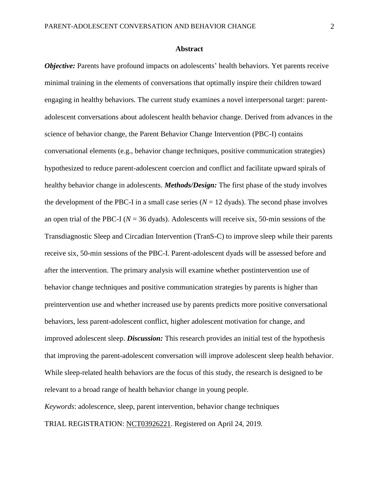# **Abstract**

*Objective:* Parents have profound impacts on adolescents' health behaviors. Yet parents receive minimal training in the elements of conversations that optimally inspire their children toward engaging in healthy behaviors. The current study examines a novel interpersonal target: parentadolescent conversations about adolescent health behavior change. Derived from advances in the science of behavior change, the Parent Behavior Change Intervention (PBC-I) contains conversational elements (e.g., behavior change techniques, positive communication strategies) hypothesized to reduce parent-adolescent coercion and conflict and facilitate upward spirals of healthy behavior change in adolescents. *Methods/Design:* The first phase of the study involves the development of the PBC-I in a small case series  $(N = 12 \text{ dyads})$ . The second phase involves an open trial of the PBC-I ( $N = 36$  dyads). Adolescents will receive six, 50-min sessions of the Transdiagnostic Sleep and Circadian Intervention (TranS-C) to improve sleep while their parents receive six, 50-min sessions of the PBC-I. Parent-adolescent dyads will be assessed before and after the intervention. The primary analysis will examine whether postintervention use of behavior change techniques and positive communication strategies by parents is higher than preintervention use and whether increased use by parents predicts more positive conversational behaviors, less parent-adolescent conflict, higher adolescent motivation for change, and improved adolescent sleep. *Discussion:* This research provides an initial test of the hypothesis that improving the parent-adolescent conversation will improve adolescent sleep health behavior. While sleep-related health behaviors are the focus of this study, the research is designed to be relevant to a broad range of health behavior change in young people. *Keywords*: adolescence, sleep, parent intervention, behavior change techniques TRIAL REGISTRATION: [NCT03926221.](https://clinicaltrials.gov/ct2/show/NCT03926221) Registered on April 24, 2019.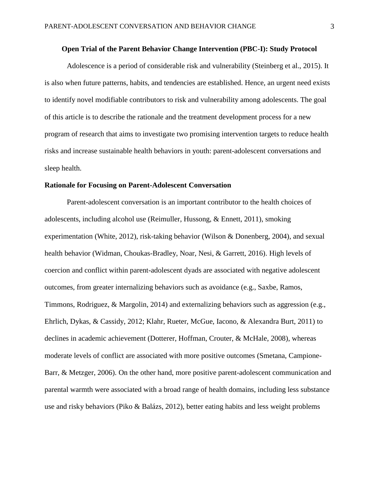# **Open Trial of the Parent Behavior Change Intervention (PBC-I): Study Protocol**

Adolescence is a period of considerable risk and vulnerability (Steinberg et al., 2015). It is also when future patterns, habits, and tendencies are established. Hence, an urgent need exists to identify novel modifiable contributors to risk and vulnerability among adolescents. The goal of this article is to describe the rationale and the treatment development process for a new program of research that aims to investigate two promising intervention targets to reduce health risks and increase sustainable health behaviors in youth: parent-adolescent conversations and sleep health.

#### **Rationale for Focusing on Parent-Adolescent Conversation**

Parent-adolescent conversation is an important contributor to the health choices of adolescents, including alcohol use (Reimuller, Hussong, & Ennett, 2011), smoking experimentation (White, 2012), risk-taking behavior (Wilson & Donenberg, 2004), and sexual health behavior (Widman, Choukas-Bradley, Noar, Nesi, & Garrett, 2016). High levels of coercion and conflict within parent-adolescent dyads are associated with negative adolescent outcomes, from greater internalizing behaviors such as avoidance (e.g., Saxbe, Ramos, Timmons, Rodriguez, & Margolin, 2014) and externalizing behaviors such as aggression (e.g., Ehrlich, Dykas, & Cassidy, 2012; Klahr, Rueter, McGue, Iacono, & Alexandra Burt, 2011) to declines in academic achievement (Dotterer, Hoffman, Crouter, & McHale, 2008), whereas moderate levels of conflict are associated with more positive outcomes (Smetana, Campione-Barr, & Metzger, 2006). On the other hand, more positive parent-adolescent communication and parental warmth were associated with a broad range of health domains, including less substance use and risky behaviors (Piko & Balázs, 2012), better eating habits and less weight problems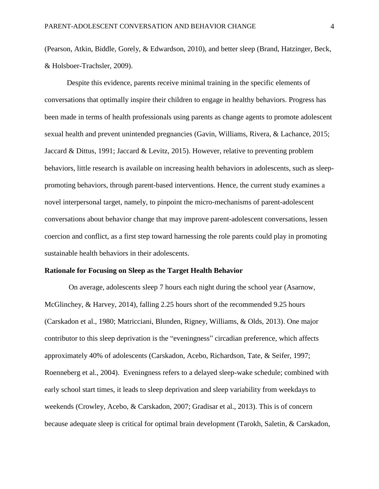(Pearson, Atkin, Biddle, Gorely, & Edwardson, 2010), and better sleep (Brand, Hatzinger, Beck, & Holsboer-Trachsler, 2009).

Despite this evidence, parents receive minimal training in the specific elements of conversations that optimally inspire their children to engage in healthy behaviors. Progress has been made in terms of health professionals using parents as change agents to promote adolescent sexual health and prevent unintended pregnancies (Gavin, Williams, Rivera, & Lachance, 2015; Jaccard & Dittus, 1991; Jaccard & Levitz, 2015). However, relative to preventing problem behaviors, little research is available on increasing health behaviors in adolescents, such as sleeppromoting behaviors, through parent-based interventions. Hence, the current study examines a novel interpersonal target, namely, to pinpoint the micro-mechanisms of parent-adolescent conversations about behavior change that may improve parent-adolescent conversations, lessen coercion and conflict, as a first step toward harnessing the role parents could play in promoting sustainable health behaviors in their adolescents.

#### **Rationale for Focusing on Sleep as the Target Health Behavior**

On average, adolescents sleep 7 hours each night during the school year (Asarnow, McGlinchey, & Harvey, 2014), falling 2.25 hours short of the recommended 9.25 hours (Carskadon et al., 1980; Matricciani, Blunden, Rigney, Williams, & Olds, 2013). One major contributor to this sleep deprivation is the "eveningness" circadian preference, which affects approximately 40% of adolescents (Carskadon, Acebo, Richardson, Tate, & Seifer, 1997; Roenneberg et al., 2004). Eveningness refers to a delayed sleep-wake schedule; combined with early school start times, it leads to sleep deprivation and sleep variability from weekdays to weekends (Crowley, Acebo, & Carskadon, 2007; Gradisar et al., 2013). This is of concern because adequate sleep is critical for optimal brain development (Tarokh, Saletin, & Carskadon,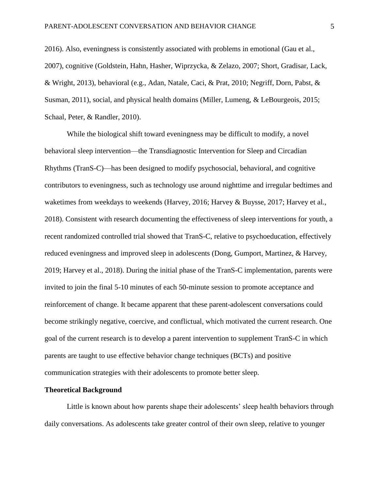2016). Also, eveningness is consistently associated with problems in emotional (Gau et al., 2007), cognitive (Goldstein, Hahn, Hasher, Wiprzycka, & Zelazo, 2007; Short, Gradisar, Lack, & Wright, 2013), behavioral (e.g., Adan, Natale, Caci, & Prat, 2010; Negriff, Dorn, Pabst, & Susman, 2011), social, and physical health domains (Miller, Lumeng, & LeBourgeois, 2015; Schaal, Peter, & Randler, 2010).

While the biological shift toward eveningness may be difficult to modify, a novel behavioral sleep intervention—the Transdiagnostic Intervention for Sleep and Circadian Rhythms (TranS-C)—has been designed to modify psychosocial, behavioral, and cognitive contributors to eveningness, such as technology use around nighttime and irregular bedtimes and waketimes from weekdays to weekends (Harvey, 2016; Harvey & Buysse, 2017; Harvey et al., 2018). Consistent with research documenting the effectiveness of sleep interventions for youth, a recent randomized controlled trial showed that TranS-C, relative to psychoeducation, effectively reduced eveningness and improved sleep in adolescents (Dong, Gumport, Martinez, & Harvey, 2019; Harvey et al., 2018). During the initial phase of the TranS-C implementation, parents were invited to join the final 5-10 minutes of each 50-minute session to promote acceptance and reinforcement of change. It became apparent that these parent-adolescent conversations could become strikingly negative, coercive, and conflictual, which motivated the current research. One goal of the current research is to develop a parent intervention to supplement TranS-C in which parents are taught to use effective behavior change techniques (BCTs) and positive communication strategies with their adolescents to promote better sleep.

# **Theoretical Background**

Little is known about how parents shape their adolescents' sleep health behaviors through daily conversations. As adolescents take greater control of their own sleep, relative to younger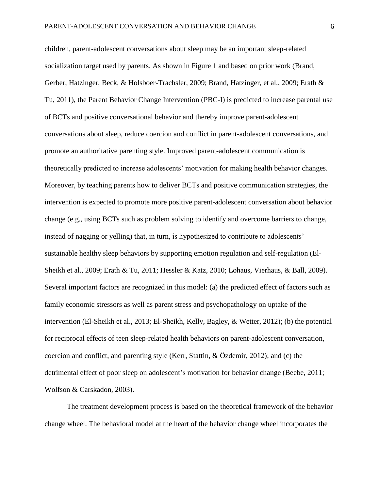children, parent-adolescent conversations about sleep may be an important sleep-related socialization target used by parents. As shown in Figure 1 and based on prior work (Brand, Gerber, Hatzinger, Beck, & Holsboer-Trachsler, 2009; Brand, Hatzinger, et al., 2009; Erath & Tu, 2011), the Parent Behavior Change Intervention (PBC-I) is predicted to increase parental use of BCTs and positive conversational behavior and thereby improve parent-adolescent conversations about sleep, reduce coercion and conflict in parent-adolescent conversations, and promote an authoritative parenting style. Improved parent-adolescent communication is theoretically predicted to increase adolescents' motivation for making health behavior changes. Moreover, by teaching parents how to deliver BCTs and positive communication strategies, the intervention is expected to promote more positive parent-adolescent conversation about behavior change (e.g., using BCTs such as problem solving to identify and overcome barriers to change, instead of nagging or yelling) that, in turn, is hypothesized to contribute to adolescents' sustainable healthy sleep behaviors by supporting emotion regulation and self-regulation (El-Sheikh et al., 2009; Erath & Tu, 2011; Hessler & Katz, 2010; Lohaus, Vierhaus, & Ball, 2009). Several important factors are recognized in this model: (a) the predicted effect of factors such as family economic stressors as well as parent stress and psychopathology on uptake of the intervention (El-Sheikh et al., 2013; El-Sheikh, Kelly, Bagley, & Wetter, 2012); (b) the potential for reciprocal effects of teen sleep-related health behaviors on parent-adolescent conversation, coercion and conflict, and parenting style (Kerr, Stattin, & Özdemir, 2012); and (c) the detrimental effect of poor sleep on adolescent's motivation for behavior change (Beebe, 2011; Wolfson & Carskadon, 2003).

The treatment development process is based on the theoretical framework of the behavior change wheel. The behavioral model at the heart of the behavior change wheel incorporates the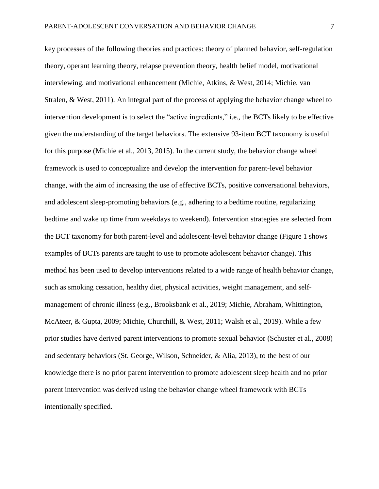key processes of the following theories and practices: theory of planned behavior, self-regulation theory, operant learning theory, relapse prevention theory, health belief model, motivational interviewing, and motivational enhancement (Michie, Atkins, & West, 2014; Michie, van Stralen, & West, 2011). An integral part of the process of applying the behavior change wheel to intervention development is to select the "active ingredients," i.e., the BCTs likely to be effective given the understanding of the target behaviors. The extensive 93-item BCT taxonomy is useful for this purpose (Michie et al., 2013, 2015). In the current study, the behavior change wheel framework is used to conceptualize and develop the intervention for parent-level behavior change, with the aim of increasing the use of effective BCTs, positive conversational behaviors, and adolescent sleep-promoting behaviors (e.g., adhering to a bedtime routine, regularizing bedtime and wake up time from weekdays to weekend). Intervention strategies are selected from the BCT taxonomy for both parent-level and adolescent-level behavior change (Figure 1 shows examples of BCTs parents are taught to use to promote adolescent behavior change). This method has been used to develop interventions related to a wide range of health behavior change, such as smoking cessation, healthy diet, physical activities, weight management, and selfmanagement of chronic illness (e.g., Brooksbank et al., 2019; Michie, Abraham, Whittington, McAteer, & Gupta, 2009; Michie, Churchill, & West, 2011; Walsh et al., 2019). While a few prior studies have derived parent interventions to promote sexual behavior (Schuster et al., 2008) and sedentary behaviors (St. George, Wilson, Schneider, & Alia, 2013), to the best of our knowledge there is no prior parent intervention to promote adolescent sleep health and no prior parent intervention was derived using the behavior change wheel framework with BCTs intentionally specified.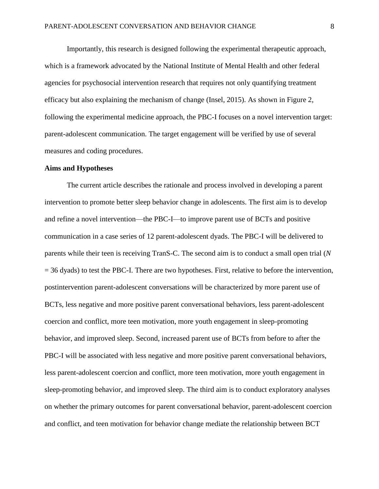Importantly, this research is designed following the experimental therapeutic approach, which is a framework advocated by the National Institute of Mental Health and other federal agencies for psychosocial intervention research that requires not only quantifying treatment efficacy but also explaining the mechanism of change (Insel, 2015). As shown in Figure 2, following the experimental medicine approach, the PBC-I focuses on a novel intervention target: parent-adolescent communication. The target engagement will be verified by use of several measures and coding procedures.

#### **Aims and Hypotheses**

The current article describes the rationale and process involved in developing a parent intervention to promote better sleep behavior change in adolescents. The first aim is to develop and refine a novel intervention—the PBC-I—to improve parent use of BCTs and positive communication in a case series of 12 parent-adolescent dyads. The PBC-I will be delivered to parents while their teen is receiving TranS-C. The second aim is to conduct a small open trial (*N*  $=$  36 dyads) to test the PBC-I. There are two hypotheses. First, relative to before the intervention, postintervention parent-adolescent conversations will be characterized by more parent use of BCTs, less negative and more positive parent conversational behaviors, less parent-adolescent coercion and conflict, more teen motivation, more youth engagement in sleep-promoting behavior, and improved sleep. Second, increased parent use of BCTs from before to after the PBC-I will be associated with less negative and more positive parent conversational behaviors, less parent-adolescent coercion and conflict, more teen motivation, more youth engagement in sleep-promoting behavior, and improved sleep. The third aim is to conduct exploratory analyses on whether the primary outcomes for parent conversational behavior, parent-adolescent coercion and conflict, and teen motivation for behavior change mediate the relationship between BCT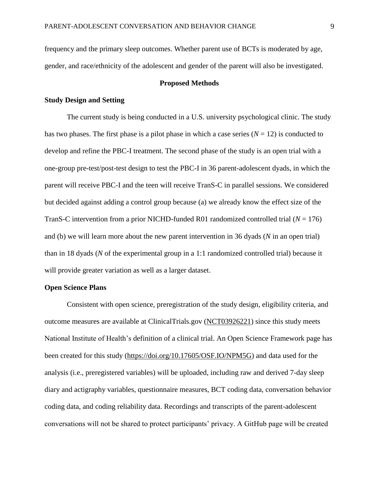frequency and the primary sleep outcomes. Whether parent use of BCTs is moderated by age, gender, and race/ethnicity of the adolescent and gender of the parent will also be investigated.

# **Proposed Methods**

# **Study Design and Setting**

The current study is being conducted in a U.S. university psychological clinic. The study has two phases. The first phase is a pilot phase in which a case series  $(N = 12)$  is conducted to develop and refine the PBC-I treatment. The second phase of the study is an open trial with a one-group pre-test/post-test design to test the PBC-I in 36 parent-adolescent dyads, in which the parent will receive PBC-I and the teen will receive TranS-C in parallel sessions. We considered but decided against adding a control group because (a) we already know the effect size of the TranS-C intervention from a prior NICHD-funded R01 randomized controlled trial (*N* = 176) and (b) we will learn more about the new parent intervention in 36 dyads (*N* in an open trial) than in 18 dyads (*N* of the experimental group in a 1:1 randomized controlled trial) because it will provide greater variation as well as a larger dataset.

# **Open Science Plans**

Consistent with open science, preregistration of the study design, eligibility criteria, and outcome measures are available at ClinicalTrials.gov [\(NCT03926221\)](https://clinicaltrials.gov/ct2/show/NCT03926221) since this study meets National Institute of Health's definition of a clinical trial. An Open Science Framework page has been created for this study [\(https://doi.org/10.17605/OSF.IO/NPM5G\)](https://doi.org/10.17605/OSF.IO/NPM5G) and data used for the analysis (i.e., preregistered variables) will be uploaded, including raw and derived 7-day sleep diary and actigraphy variables, questionnaire measures, BCT coding data, conversation behavior coding data, and coding reliability data. Recordings and transcripts of the parent-adolescent conversations will not be shared to protect participants' privacy. A GitHub page will be created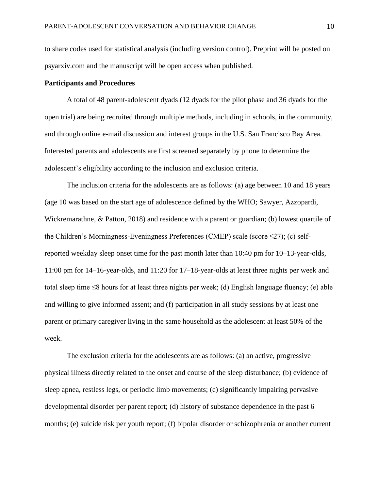to share codes used for statistical analysis (including version control). Preprint will be posted on psyarxiv.com and the manuscript will be open access when published.

# **Participants and Procedures**

A total of 48 parent-adolescent dyads (12 dyads for the pilot phase and 36 dyads for the open trial) are being recruited through multiple methods, including in schools, in the community, and through online e-mail discussion and interest groups in the U.S. San Francisco Bay Area. Interested parents and adolescents are first screened separately by phone to determine the adolescent's eligibility according to the inclusion and exclusion criteria.

The inclusion criteria for the adolescents are as follows: (a) age between 10 and 18 years (age 10 was based on the start age of adolescence defined by the WHO; Sawyer, Azzopardi, Wickremarathne, & Patton, 2018) and residence with a parent or guardian; (b) lowest quartile of the Children's Morningness-Eveningness Preferences (CMEP) scale (score  $\leq$ 27); (c) selfreported weekday sleep onset time for the past month later than 10:40 pm for 10–13-year-olds, 11:00 pm for 14–16-year-olds, and 11:20 for 17–18-year-olds at least three nights per week and total sleep time  $\leq 8$  hours for at least three nights per week; (d) English language fluency; (e) able and willing to give informed assent; and (f) participation in all study sessions by at least one parent or primary caregiver living in the same household as the adolescent at least 50% of the week.

The exclusion criteria for the adolescents are as follows: (a) an active, progressive physical illness directly related to the onset and course of the sleep disturbance; (b) evidence of sleep apnea, restless legs, or periodic limb movements; (c) significantly impairing pervasive developmental disorder per parent report; (d) history of substance dependence in the past 6 months; (e) suicide risk per youth report; (f) bipolar disorder or schizophrenia or another current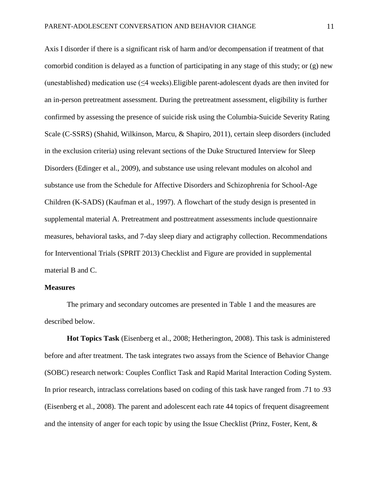Axis I disorder if there is a significant risk of harm and/or decompensation if treatment of that comorbid condition is delayed as a function of participating in any stage of this study; or (g) new (unestablished) medication use (≤4 weeks).Eligible parent-adolescent dyads are then invited for an in-person pretreatment assessment. During the pretreatment assessment, eligibility is further confirmed by assessing the presence of suicide risk using the Columbia-Suicide Severity Rating Scale (C-SSRS) (Shahid, Wilkinson, Marcu, & Shapiro, 2011), certain sleep disorders (included in the exclusion criteria) using relevant sections of the Duke Structured Interview for Sleep Disorders (Edinger et al., 2009), and substance use using relevant modules on alcohol and substance use from the Schedule for Affective Disorders and Schizophrenia for School-Age Children (K-SADS) (Kaufman et al., 1997). A flowchart of the study design is presented in supplemental material A. Pretreatment and posttreatment assessments include questionnaire measures, behavioral tasks, and 7-day sleep diary and actigraphy collection. Recommendations for Interventional Trials (SPRIT 2013) Checklist and Figure are provided in supplemental material B and C.

#### **Measures**

The primary and secondary outcomes are presented in Table 1 and the measures are described below.

**Hot Topics Task** (Eisenberg et al., 2008; Hetherington, 2008). This task is administered before and after treatment. The task integrates two assays from the Science of Behavior Change (SOBC) research network: Couples Conflict Task and Rapid Marital Interaction Coding System. In prior research, intraclass correlations based on coding of this task have ranged from .71 to .93 (Eisenberg et al., 2008). The parent and adolescent each rate 44 topics of frequent disagreement and the intensity of anger for each topic by using the Issue Checklist (Prinz, Foster, Kent, &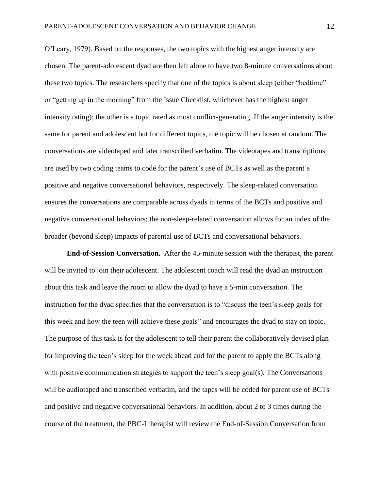O'Leary, 1979). Based on the responses, the two topics with the highest anger intensity are chosen. The parent-adolescent dyad are then left alone to have two 8-minute conversations about these two topics. The researchers specify that one of the topics is about sleep (either "bedtime" or "getting up in the morning" from the Issue Checklist, whichever has the highest anger intensity rating); the other is a topic rated as most conflict-generating. If the anger intensity is the same for parent and adolescent but for different topics, the topic will be chosen at random. The conversations are videotaped and later transcribed verbatim. The videotapes and transcriptions are used by two coding teams to code for the parent's use of BCTs as well as the parent's positive and negative conversational behaviors, respectively. The sleep-related conversation ensures the conversations are comparable across dyads in terms of the BCTs and positive and negative conversational behaviors; the non-sleep-related conversation allows for an index of the broader (beyond sleep) impacts of parental use of BCTs and conversational behaviors.

**End-of-Session Conversation.** After the 45-minute session with the therapist, the parent will be invited to join their adolescent. The adolescent coach will read the dyad an instruction about this task and leave the room to allow the dyad to have a 5-min conversation. The instruction for the dyad specifies that the conversation is to "discuss the teen's sleep goals for this week and how the teen will achieve these goals" and encourages the dyad to stay on topic. The purpose of this task is for the adolescent to tell their parent the collaboratively devised plan for improving the teen's sleep for the week ahead and for the parent to apply the BCTs along with positive communication strategies to support the teen's sleep goal(s). The Conversations will be audiotaped and transcribed verbatim, and the tapes will be coded for parent use of BCTs and positive and negative conversational behaviors. In addition, about 2 to 3 times during the course of the treatment, the PBC-I therapist will review the End-of-Session Conversation from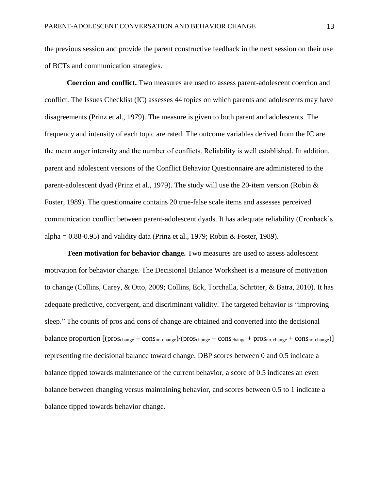the previous session and provide the parent constructive feedback in the next session on their use of BCTs and communication strategies.

**Coercion and conflict.** Two measures are used to assess parent-adolescent coercion and conflict. The Issues Checklist (IC) assesses 44 topics on which parents and adolescents may have disagreements (Prinz et al., 1979). The measure is given to both parent and adolescents. The frequency and intensity of each topic are rated. The outcome variables derived from the IC are the mean anger intensity and the number of conflicts. Reliability is well established. In addition, parent and adolescent versions of the Conflict Behavior Questionnaire are administered to the parent-adolescent dyad (Prinz et al., 1979). The study will use the 20-item version (Robin & Foster, 1989). The questionnaire contains 20 true-false scale items and assesses perceived communication conflict between parent-adolescent dyads. It has adequate reliability (Cronback's alpha =  $0.88-0.95$ ) and validity data (Prinz et al., 1979; Robin & Foster, 1989).

**Teen motivation for behavior change.** Two measures are used to assess adolescent motivation for behavior change. The Decisional Balance Worksheet is a measure of motivation to change (Collins, Carey, & Otto, 2009; Collins, Eck, Torchalla, Schröter, & Batra, 2010). It has adequate predictive, convergent, and discriminant validity. The targeted behavior is "improving sleep." The counts of pros and cons of change are obtained and converted into the decisional balance proportion  $[(\text{pros}_{change} + \text{cons}_{no-change})/(\text{pros}_{change} + \text{cons}_{change} + \text{pros}_{no-change} + \text{cons}_{no-change})]$ representing the decisional balance toward change. DBP scores between 0 and 0.5 indicate a balance tipped towards maintenance of the current behavior, a score of 0.5 indicates an even balance between changing versus maintaining behavior, and scores between 0.5 to 1 indicate a balance tipped towards behavior change.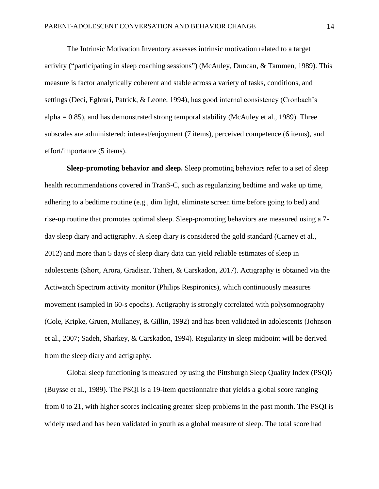The Intrinsic Motivation Inventory assesses intrinsic motivation related to a target activity ("participating in sleep coaching sessions") (McAuley, Duncan, & Tammen, 1989). This measure is factor analytically coherent and stable across a variety of tasks, conditions, and settings (Deci, Eghrari, Patrick, & Leone, 1994), has good internal consistency (Cronbach's alpha  $= 0.85$ ), and has demonstrated strong temporal stability (McAuley et al., 1989). Three subscales are administered: interest/enjoyment (7 items), perceived competence (6 items), and effort/importance (5 items).

**Sleep-promoting behavior and sleep.** Sleep promoting behaviors refer to a set of sleep health recommendations covered in TranS-C, such as regularizing bedtime and wake up time, adhering to a bedtime routine (e.g., dim light, eliminate screen time before going to bed) and rise-up routine that promotes optimal sleep. Sleep-promoting behaviors are measured using a 7 day sleep diary and actigraphy. A sleep diary is considered the gold standard (Carney et al., 2012) and more than 5 days of sleep diary data can yield reliable estimates of sleep in adolescents (Short, Arora, Gradisar, Taheri, & Carskadon, 2017). Actigraphy is obtained via the Actiwatch Spectrum activity monitor (Philips Respironics), which continuously measures movement (sampled in 60-s epochs). Actigraphy is strongly correlated with polysomnography (Cole, Kripke, Gruen, Mullaney, & Gillin, 1992) and has been validated in adolescents (Johnson et al., 2007; Sadeh, Sharkey, & Carskadon, 1994). Regularity in sleep midpoint will be derived from the sleep diary and actigraphy.

Global sleep functioning is measured by using the Pittsburgh Sleep Quality Index (PSQI) (Buysse et al., 1989). The PSQI is a 19-item questionnaire that yields a global score ranging from 0 to 21, with higher scores indicating greater sleep problems in the past month. The PSQI is widely used and has been validated in youth as a global measure of sleep. The total score had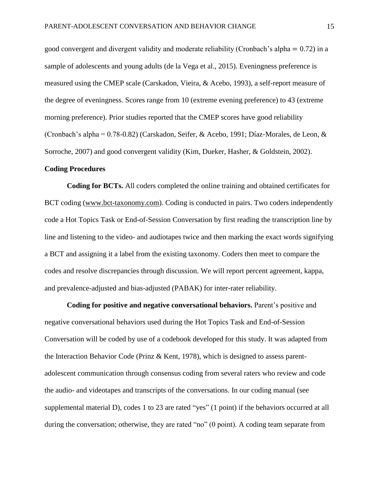good convergent and divergent validity and moderate reliability (Cronbach's alpha = 0.72) in a sample of adolescents and young adults (de la Vega et al., 2015). Eveningness preference is measured using the CMEP scale (Carskadon, Vieira, & Acebo, 1993), a self-report measure of the degree of eveningness. Scores range from 10 (extreme evening preference) to 43 (extreme morning preference). Prior studies reported that the CMEP scores have good reliability (Cronbach's alpha = 0.78-0.82) (Carskadon, Seifer, & Acebo, 1991; Díaz‐Morales, de Leon, & Sorroche, 2007) and good convergent validity (Kim, Dueker, Hasher, & Goldstein, 2002).

#### **Coding Procedures**

**Coding for BCTs.** All coders completed the online training and obtained certificates for BCT coding [\(www.bct-taxonomy.com\)](http://www.bct-taxonomy.com/). Coding is conducted in pairs. Two coders independently code a Hot Topics Task or End-of-Session Conversation by first reading the transcription line by line and listening to the video- and audiotapes twice and then marking the exact words signifying a BCT and assigning it a label from the existing taxonomy. Coders then meet to compare the codes and resolve discrepancies through discussion. We will report percent agreement, kappa, and prevalence-adjusted and bias-adjusted (PABAK) for inter-rater reliability.

**Coding for positive and negative conversational behaviors.** Parent's positive and negative conversational behaviors used during the Hot Topics Task and End-of-Session Conversation will be coded by use of a codebook developed for this study. It was adapted from the Interaction Behavior Code (Prinz & Kent, 1978), which is designed to assess parentadolescent communication through consensus coding from several raters who review and code the audio- and videotapes and transcripts of the conversations. In our coding manual (see supplemental material D), codes 1 to 23 are rated "yes" (1 point) if the behaviors occurred at all during the conversation; otherwise, they are rated "no" (0 point). A coding team separate from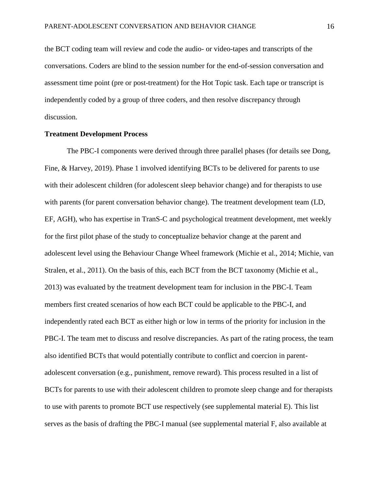the BCT coding team will review and code the audio- or video-tapes and transcripts of the conversations. Coders are blind to the session number for the end-of-session conversation and assessment time point (pre or post-treatment) for the Hot Topic task. Each tape or transcript is independently coded by a group of three coders, and then resolve discrepancy through discussion.

# **Treatment Development Process**

The PBC-I components were derived through three parallel phases (for details see Dong, Fine, & Harvey, 2019). Phase 1 involved identifying BCTs to be delivered for parents to use with their adolescent children (for adolescent sleep behavior change) and for therapists to use with parents (for parent conversation behavior change). The treatment development team (LD, EF, AGH), who has expertise in TranS-C and psychological treatment development, met weekly for the first pilot phase of the study to conceptualize behavior change at the parent and adolescent level using the Behaviour Change Wheel framework (Michie et al., 2014; Michie, van Stralen, et al., 2011). On the basis of this, each BCT from the BCT taxonomy (Michie et al., 2013) was evaluated by the treatment development team for inclusion in the PBC-I. Team members first created scenarios of how each BCT could be applicable to the PBC-I, and independently rated each BCT as either high or low in terms of the priority for inclusion in the PBC-I. The team met to discuss and resolve discrepancies. As part of the rating process, the team also identified BCTs that would potentially contribute to conflict and coercion in parentadolescent conversation (e.g., punishment, remove reward). This process resulted in a list of BCTs for parents to use with their adolescent children to promote sleep change and for therapists to use with parents to promote BCT use respectively (see supplemental material E). This list serves as the basis of drafting the PBC-I manual (see supplemental material F, also available at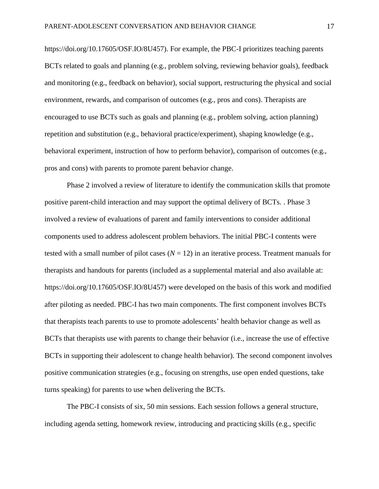[https://doi.org/10.17605/OSF.IO/8U457\)](https://doi.org/10.17605/OSF.IO/8U457). For example, the PBC-I prioritizes teaching parents BCTs related to goals and planning (e.g., problem solving, reviewing behavior goals), feedback and monitoring (e.g., feedback on behavior), social support, restructuring the physical and social environment, rewards, and comparison of outcomes (e.g., pros and cons). Therapists are encouraged to use BCTs such as goals and planning (e.g., problem solving, action planning) repetition and substitution (e.g., behavioral practice/experiment), shaping knowledge (e.g., behavioral experiment, instruction of how to perform behavior), comparison of outcomes (e.g., pros and cons) with parents to promote parent behavior change.

Phase 2 involved a review of literature to identify the communication skills that promote positive parent-child interaction and may support the optimal delivery of BCTs. . Phase 3 involved a review of evaluations of parent and family interventions to consider additional components used to address adolescent problem behaviors. The initial PBC-I contents were tested with a small number of pilot cases  $(N = 12)$  in an iterative process. Treatment manuals for therapists and handouts for parents (included as a supplemental material and also available at: [https://doi.org/10.17605/OSF.IO/8U457\)](https://doi.org/10.17605/OSF.IO/8U457) were developed on the basis of this work and modified after piloting as needed. PBC-I has two main components. The first component involves BCTs that therapists teach parents to use to promote adolescents' health behavior change as well as BCTs that therapists use with parents to change their behavior (i.e., increase the use of effective BCTs in supporting their adolescent to change health behavior). The second component involves positive communication strategies (e.g., focusing on strengths, use open ended questions, take turns speaking) for parents to use when delivering the BCTs.

The PBC-I consists of six, 50 min sessions. Each session follows a general structure, including agenda setting, homework review, introducing and practicing skills (e.g., specific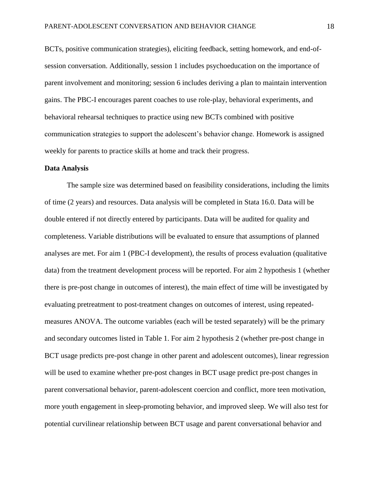BCTs, positive communication strategies), eliciting feedback, setting homework, and end-ofsession conversation. Additionally, session 1 includes psychoeducation on the importance of parent involvement and monitoring; session 6 includes deriving a plan to maintain intervention gains. The PBC-I encourages parent coaches to use role-play, behavioral experiments, and behavioral rehearsal techniques to practice using new BCTs combined with positive communication strategies to support the adolescent's behavior change. Homework is assigned weekly for parents to practice skills at home and track their progress.

# **Data Analysis**

The sample size was determined based on feasibility considerations, including the limits of time (2 years) and resources. Data analysis will be completed in Stata 16.0. Data will be double entered if not directly entered by participants. Data will be audited for quality and completeness. Variable distributions will be evaluated to ensure that assumptions of planned analyses are met. For aim 1 (PBC-I development), the results of process evaluation (qualitative data) from the treatment development process will be reported. For aim 2 hypothesis 1 (whether there is pre-post change in outcomes of interest), the main effect of time will be investigated by evaluating pretreatment to post-treatment changes on outcomes of interest, using repeatedmeasures ANOVA. The outcome variables (each will be tested separately) will be the primary and secondary outcomes listed in Table 1. For aim 2 hypothesis 2 (whether pre-post change in BCT usage predicts pre-post change in other parent and adolescent outcomes), linear regression will be used to examine whether pre-post changes in BCT usage predict pre-post changes in parent conversational behavior, parent-adolescent coercion and conflict, more teen motivation, more youth engagement in sleep-promoting behavior, and improved sleep. We will also test for potential curvilinear relationship between BCT usage and parent conversational behavior and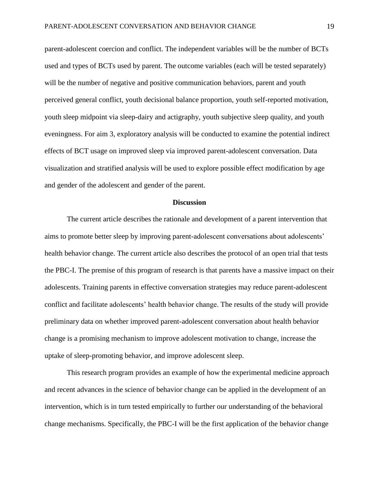parent-adolescent coercion and conflict. The independent variables will be the number of BCTs used and types of BCTs used by parent. The outcome variables (each will be tested separately) will be the number of negative and positive communication behaviors, parent and youth perceived general conflict, youth decisional balance proportion, youth self-reported motivation, youth sleep midpoint via sleep-dairy and actigraphy, youth subjective sleep quality, and youth eveningness. For aim 3, exploratory analysis will be conducted to examine the potential indirect effects of BCT usage on improved sleep via improved parent-adolescent conversation. Data visualization and stratified analysis will be used to explore possible effect modification by age and gender of the adolescent and gender of the parent.

#### **Discussion**

The current article describes the rationale and development of a parent intervention that aims to promote better sleep by improving parent-adolescent conversations about adolescents' health behavior change. The current article also describes the protocol of an open trial that tests the PBC-I. The premise of this program of research is that parents have a massive impact on their adolescents. Training parents in effective conversation strategies may reduce parent-adolescent conflict and facilitate adolescents' health behavior change. The results of the study will provide preliminary data on whether improved parent-adolescent conversation about health behavior change is a promising mechanism to improve adolescent motivation to change, increase the uptake of sleep-promoting behavior, and improve adolescent sleep.

This research program provides an example of how the experimental medicine approach and recent advances in the science of behavior change can be applied in the development of an intervention, which is in turn tested empirically to further our understanding of the behavioral change mechanisms. Specifically, the PBC-I will be the first application of the behavior change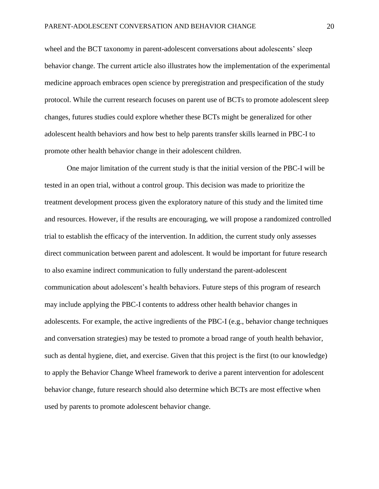wheel and the BCT taxonomy in parent-adolescent conversations about adolescents' sleep behavior change. The current article also illustrates how the implementation of the experimental medicine approach embraces open science by preregistration and prespecification of the study protocol. While the current research focuses on parent use of BCTs to promote adolescent sleep changes, futures studies could explore whether these BCTs might be generalized for other adolescent health behaviors and how best to help parents transfer skills learned in PBC-I to promote other health behavior change in their adolescent children.

One major limitation of the current study is that the initial version of the PBC-I will be tested in an open trial, without a control group. This decision was made to prioritize the treatment development process given the exploratory nature of this study and the limited time and resources. However, if the results are encouraging, we will propose a randomized controlled trial to establish the efficacy of the intervention. In addition, the current study only assesses direct communication between parent and adolescent. It would be important for future research to also examine indirect communication to fully understand the parent-adolescent communication about adolescent's health behaviors. Future steps of this program of research may include applying the PBC-I contents to address other health behavior changes in adolescents. For example, the active ingredients of the PBC-I (e.g., behavior change techniques and conversation strategies) may be tested to promote a broad range of youth health behavior, such as dental hygiene, diet, and exercise. Given that this project is the first (to our knowledge) to apply the Behavior Change Wheel framework to derive a parent intervention for adolescent behavior change, future research should also determine which BCTs are most effective when used by parents to promote adolescent behavior change.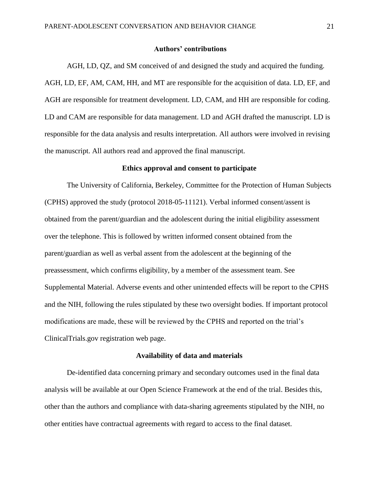# **Authors' contributions**

AGH, LD, QZ, and SM conceived of and designed the study and acquired the funding. AGH, LD, EF, AM, CAM, HH, and MT are responsible for the acquisition of data. LD, EF, and AGH are responsible for treatment development. LD, CAM, and HH are responsible for coding. LD and CAM are responsible for data management. LD and AGH drafted the manuscript. LD is responsible for the data analysis and results interpretation. All authors were involved in revising the manuscript. All authors read and approved the final manuscript.

#### **Ethics approval and consent to participate**

The University of California, Berkeley, Committee for the Protection of Human Subjects (CPHS) approved the study (protocol [2018-05-11121\)](javascript:openProtocol(). Verbal informed consent/assent is obtained from the parent/guardian and the adolescent during the initial eligibility assessment over the telephone. This is followed by written informed consent obtained from the parent/guardian as well as verbal assent from the adolescent at the beginning of the preassessment, which confirms eligibility, by a member of the assessment team. See Supplemental Material. Adverse events and other unintended effects will be report to the CPHS and the NIH, following the rules stipulated by these two oversight bodies. If important protocol modifications are made, these will be reviewed by the CPHS and reported on the trial's ClinicalTrials.gov registration web page.

#### **Availability of data and materials**

De-identified data concerning primary and secondary outcomes used in the final data analysis will be available at our Open Science Framework at the end of the trial. Besides this, other than the authors and compliance with data-sharing agreements stipulated by the NIH, no other entities have contractual agreements with regard to access to the final dataset.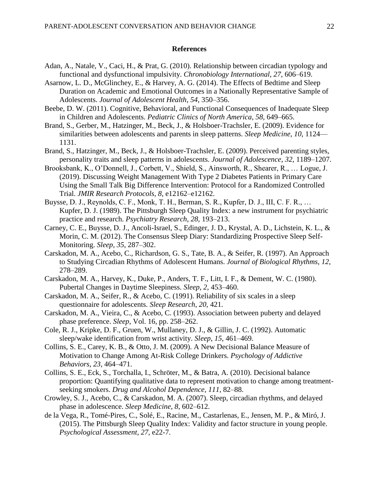# **References**

- Adan, A., Natale, V., Caci, H., & Prat, G. (2010). Relationship between circadian typology and functional and dysfunctional impulsivity. *Chronobiology International*, *27*, 606–619.
- Asarnow, L. D., McGlinchey, E., & Harvey, A. G. (2014). The Effects of Bedtime and Sleep Duration on Academic and Emotional Outcomes in a Nationally Representative Sample of Adolescents. *Journal of Adolescent Health*, *54*, 350–356.
- Beebe, D. W. (2011). Cognitive, Behavioral, and Functional Consequences of Inadequate Sleep in Children and Adolescents. *Pediatric Clinics of North America*, *58*, 649–665.
- Brand, S., Gerber, M., Hatzinger, M., Beck, J., & Holsboer-Trachsler, E. (2009). Evidence for similarities between adolescents and parents in sleep patterns. *Sleep Medicine*, *10*, 1124— 1131.
- Brand, S., Hatzinger, M., Beck, J., & Holsboer-Trachsler, E. (2009). Perceived parenting styles, personality traits and sleep patterns in adolescents. *Journal of Adolescence*, *32*, 1189–1207.
- Brooksbank, K., O'Donnell, J., Corbett, V., Shield, S., Ainsworth, R., Shearer, R., … Logue, J. (2019). Discussing Weight Management With Type 2 Diabetes Patients in Primary Care Using the Small Talk Big Difference Intervention: Protocol for a Randomized Controlled Trial. *JMIR Research Protocols*, *8*, e12162–e12162.
- Buysse, D. J., Reynolds, C. F., Monk, T. H., Berman, S. R., Kupfer, D. J., III, C. F. R., … Kupfer, D. J. (1989). The Pittsburgh Sleep Quality Index: a new instrument for psychiatric practice and research. *Psychiatry Research*, *28*, 193–213.
- Carney, C. E., Buysse, D. J., Ancoli-Israel, S., Edinger, J. D., Krystal, A. D., Lichstein, K. L., & Morin, C. M. (2012). The Consensus Sleep Diary: Standardizing Prospective Sleep Self-Monitoring. *Sleep*, *35*, 287–302.
- Carskadon, M. A., Acebo, C., Richardson, G. S., Tate, B. A., & Seifer, R. (1997). An Approach to Studying Circadian Rhythms of Adolescent Humans. *Journal of Biological Rhythms*, *12*, 278–289.
- Carskadon, M. A., Harvey, K., Duke, P., Anders, T. F., Litt, I. F., & Dement, W. C. (1980). Pubertal Changes in Daytime Sleepiness. *Sleep*, *2*, 453–460.
- Carskadon, M. A., Seifer, R., & Acebo, C. (1991). Reliability of six scales in a sleep questionnaire for adolescents. *Sleep Research*, *20*, 421.
- Carskadon, M. A., Vieira, C., & Acebo, C. (1993). Association between puberty and delayed phase preference. *Sleep*, Vol. 16, pp. 258–262.
- Cole, R. J., Kripke, D. F., Gruen, W., Mullaney, D. J., & Gillin, J. C. (1992). Automatic sleep/wake identification from wrist activity. *Sleep*, *15*, 461–469.
- Collins, S. E., Carey, K. B., & Otto, J. M. (2009). A New Decisional Balance Measure of Motivation to Change Among At-Risk College Drinkers. *Psychology of Addictive Behaviors*, *23*, 464–471.
- Collins, S. E., Eck, S., Torchalla, I., Schröter, M., & Batra, A. (2010). Decisional balance proportion: Quantifying qualitative data to represent motivation to change among treatmentseeking smokers. *Drug and Alcohol Dependence*, *111*, 82–88.
- Crowley, S. J., Acebo, C., & Carskadon, M. A. (2007). Sleep, circadian rhythms, and delayed phase in adolescence. *Sleep Medicine*, *8*, 602–612.
- de la Vega, R., Tomé-Pires, C., Solé, E., Racine, M., Castarlenas, E., Jensen, M. P., & Miró, J. (2015). The Pittsburgh Sleep Quality Index: Validity and factor structure in young people. *Psychological Assessment*, *27*, e22-7.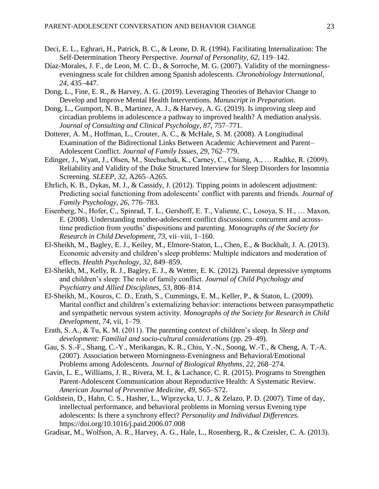- Deci, E. L., Eghrari, H., Patrick, B. C., & Leone, D. R. (1994). Facilitating Internalization: The Self-Determination Theory Perspective. *Journal of Personality*, *62*, 119–142.
- Díaz-Morales, J. F., de Leon, M. C. D., & Sorroche, M. G. (2007). Validity of the morningnesseveningness scale for children among Spanish adolescents. *Chronobiology International*, *24*, 435–447.
- Dong, L., Fine, E. R., & Harvey, A. G. (2019). Leveraging Theories of Behavior Change to Develop and Improve Mental Health Interventions. *Manuscript in Preparation*.
- Dong, L., Gumport, N. B., Martinez, A. J., & Harvey, A. G. (2019). Is improving sleep and circadian problems in adolescence a pathway to improved health? A mediation analysis. *Journal of Consulting and Clinical Psychology*, *87*, 757–771.
- Dotterer, A. M., Hoffman, L., Crouter, A. C., & McHale, S. M. (2008). A Longitudinal Examination of the Bidirectional Links Between Academic Achievement and Parent– Adolescent Conflict. *Journal of Family Issues*, *29*, 762–779.
- Edinger, J., Wyatt, J., Olsen, M., Stechuchak, K., Carney, C., Chiang, A., … Radtke, R. (2009). Reliability and Validity of the Duke Structured Interview for Sleep Disorders for Insomnia Screening. *SLEEP*, *32*, A265–A265.
- Ehrlich, K. B., Dykas, M. J., & Cassidy, J. (2012). Tipping points in adolescent adjustment: Predicting social functioning from adolescents' conflict with parents and friends. *Journal of Family Psychology*, *26*, 776–783.
- Eisenberg, N., Hofer, C., Spinrad, T. L., Gershoff, E. T., Valiente, C., Losoya, S. H., … Maxon, E. (2008). Understanding mother-adolescent conflict discussions: concurrent and acrosstime prediction from youths' dispositions and parenting. *Monographs of the Society for Research in Child Development*, *73*, vii–viii, 1–160.
- El-Sheikh, M., Bagley, E. J., Keiley, M., Elmore-Staton, L., Chen, E., & Buckhalt, J. A. (2013). Economic adversity and children's sleep problems: Multiple indicators and moderation of effects. *Health Psychology*, *32*, 849–859.
- El-Sheikh, M., Kelly, R. J., Bagley, E. J., & Wetter, E. K. (2012). Parental depressive symptoms and children's sleep: The role of family conflict. *Journal of Child Psychology and Psychiatry and Allied Disciplines*, *53*, 806–814.
- El-Sheikh, M., Kouros, C. D., Erath, S., Cummings, E. M., Keller, P., & Staton, L. (2009). Marital conflict and children's externalizing behavior: interactions between parasympathetic and sympathetic nervous system activity. *Monographs of the Society for Research in Child Development*, *74*, vii, 1–79.
- Erath, S. A., & Tu, K. M. (2011). The parenting context of children's sleep. In *Sleep and development: Familial and socio-cultural considerations* (pp. 29–49).
- Gau, S. S.-F., Shang, C.-Y., Merikangas, K. R., Chiu, Y.-N., Soong, W.-T., & Cheng, A. T.-A. (2007). Association between Morningness-Eveningness and Behavioral/Emotional Problems among Adolescents. *Journal of Biological Rhythms*, *22*, 268–274.
- Gavin, L. E., Williams, J. R., Rivera, M. I., & Lachance, C. R. (2015). Programs to Strengthen Parent-Adolescent Communication about Reproductive Health: A Systematic Review. *American Journal of Preventive Medicine*, *49*, S65–S72.
- Goldstein, D., Hahn, C. S., Hasher, L., Wiprzycka, U. J., & Zelazo, P. D. (2007). Time of day, intellectual performance, and behavioral problems in Morning versus Evening type adolescents: Is there a synchrony effect? *Personality and Individual Differences*. https://doi.org/10.1016/j.paid.2006.07.008

Gradisar, M., Wolfson, A. R., Harvey, A. G., Hale, L., Rosenberg, R., & Czeisler, C. A. (2013).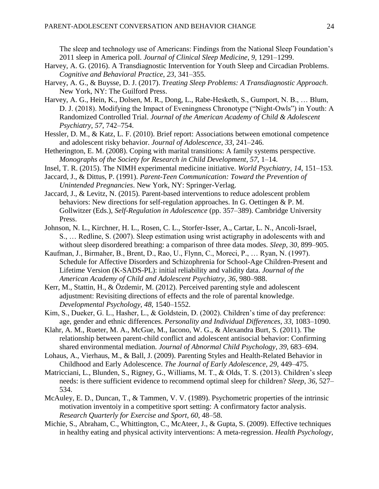The sleep and technology use of Americans: Findings from the National Sleep Foundation's 2011 sleep in America poll. *Journal of Clinical Sleep Medicine*, *9*, 1291–1299.

- Harvey, A. G. (2016). A Transdiagnostic Intervention for Youth Sleep and Circadian Problems. *Cognitive and Behavioral Practice*, *23*, 341–355.
- Harvey, A. G., & Buysse, D. J. (2017). *Treating Sleep Problems: A Transdiagnostic Approach*. New York, NY: The Guilford Press.
- Harvey, A. G., Hein, K., Dolsen, M. R., Dong, L., Rabe-Hesketh, S., Gumport, N. B., … Blum, D. J. (2018). Modifying the Impact of Eveningness Chronotype ("Night-Owls") in Youth: A Randomized Controlled Trial. *Journal of the American Academy of Child & Adolescent Psychiatry*, *57*, 742–754.
- Hessler, D. M., & Katz, L. F. (2010). Brief report: Associations between emotional competence and adolescent risky behavior. *Journal of Adolescence*, *33*, 241–246.
- Hetherington, E. M. (2008). Coping with marital transitions: A family systems perspective. *Monographs of the Society for Research in Child Development*, *57*, 1–14.
- Insel, T. R. (2015). The NIMH experimental medicine initiative. *World Psychiatry*, *14*, 151–153.
- Jaccard, J., & Dittus, P. (1991). *Parent-Teen Communication: Toward the Prevention of Unintended Pregnancies*. New York, NY: Springer-Verlag.
- Jaccard, J., & Levitz, N. (2015). Parent-based interventions to reduce adolescent problem behaviors: New directions for self-regulation approaches. In G. Oettingen & P. M. Gollwitzer (Eds.), *Self-Regulation in Adolescence* (pp. 357–389). Cambridge University Press.
- Johnson, N. L., Kirchner, H. L., Rosen, C. L., Storfer-Isser, A., Cartar, L. N., Ancoli-Israel, S., … Redline, S. (2007). Sleep estimation using wrist actigraphy in adolescents with and without sleep disordered breathing: a comparison of three data modes. *Sleep*, *30*, 899–905.
- Kaufman, J., Birmaher, B., Brent, D., Rao, U., Flynn, C., Moreci, P., … Ryan, N. (1997). Schedule for Affective Disorders and Schizophrenia for School-Age Children-Present and Lifetime Version (K-SADS-PL): initial reliability and validity data. *Journal of the American Academy of Child and Adolescent Psychiatry*, *36*, 980–988.
- Kerr, M., Stattin, H., & Özdemir, M. (2012). Perceived parenting style and adolescent adjustment: Revisiting directions of effects and the role of parental knowledge. *Developmental Psychology*, *48*, 1540–1552.
- Kim, S., Dueker, G. L., Hasher, L., & Goldstein, D. (2002). Children's time of day preference: age, gender and ethnic differences. *Personality and Individual Differences*, *33*, 1083–1090.
- Klahr, A. M., Rueter, M. A., McGue, M., Iacono, W. G., & Alexandra Burt, S. (2011). The relationship between parent-child conflict and adolescent antisocial behavior: Confirming shared environmental mediation. *Journal of Abnormal Child Psychology*, *39*, 683–694.
- Lohaus, A., Vierhaus, M., & Ball, J. (2009). Parenting Styles and Health-Related Behavior in Childhood and Early Adolescence. *The Journal of Early Adolescence*, *29*, 449–475.
- Matricciani, L., Blunden, S., Rigney, G., Williams, M. T., & Olds, T. S. (2013). Children's sleep needs: is there sufficient evidence to recommend optimal sleep for children? *Sleep*, *36*, 527– 534.
- McAuley, E. D., Duncan, T., & Tammen, V. V. (1989). Psychometric properties of the intrinsic motivation inventoiy in a competitive sport setting: A confirmatory factor analysis. *Research Quarterly for Exercise and Sport*, *60*, 48–58.
- Michie, S., Abraham, C., Whittington, C., McAteer, J., & Gupta, S. (2009). Effective techniques in healthy eating and physical activity interventions: A meta-regression. *Health Psychology*,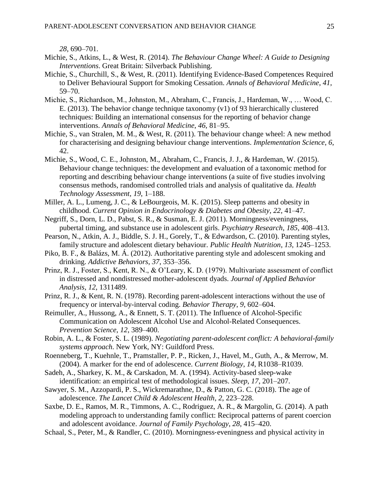*28*, 690–701.

- Michie, S., Atkins, L., & West, R. (2014). *The Behaviour Change Wheel: A Guide to Designing Interventions*. Great Britain: Silverback Publishing.
- Michie, S., Churchill, S., & West, R. (2011). Identifying Evidence-Based Competences Required to Deliver Behavioural Support for Smoking Cessation. *Annals of Behavioral Medicine*, *41*, 59–70.
- Michie, S., Richardson, M., Johnston, M., Abraham, C., Francis, J., Hardeman, W., … Wood, C. E. (2013). The behavior change technique taxonomy (v1) of 93 hierarchically clustered techniques: Building an international consensus for the reporting of behavior change interventions. *Annals of Behavioral Medicine*, *46*, 81–95.
- Michie, S., van Stralen, M. M., & West, R. (2011). The behaviour change wheel: A new method for characterising and designing behaviour change interventions. *Implementation Science*, *6*, 42.
- Michie, S., Wood, C. E., Johnston, M., Abraham, C., Francis, J. J., & Hardeman, W. (2015). Behaviour change techniques: the development and evaluation of a taxonomic method for reporting and describing behaviour change interventions (a suite of five studies involving consensus methods, randomised controlled trials and analysis of qualitative da. *Health Technology Assessment*, *19*, 1–188.
- Miller, A. L., Lumeng, J. C., & LeBourgeois, M. K. (2015). Sleep patterns and obesity in childhood. *Current Opinion in Endocrinology & Diabetes and Obesity*, *22*, 41–47.
- Negriff, S., Dorn, L. D., Pabst, S. R., & Susman, E. J. (2011). Morningness/eveningness, pubertal timing, and substance use in adolescent girls. *Psychiatry Research*, *185*, 408–413.
- Pearson, N., Atkin, A. J., Biddle, S. J. H., Gorely, T., & Edwardson, C. (2010). Parenting styles, family structure and adolescent dietary behaviour. *Public Health Nutrition*, *13*, 1245–1253.
- Piko, B. F., & Balázs, M. Á. (2012). Authoritative parenting style and adolescent smoking and drinking. *Addictive Behaviors*, *37*, 353–356.
- Prinz, R. J., Foster, S., Kent, R. N., & O'Leary, K. D. (1979). Multivariate assessment of conflict in distressed and nondistressed mother-adolescent dyads. *Journal of Applied Behavior Analysis*, *12*, 1311489.
- Prinz, R. J., & Kent, R. N. (1978). Recording parent-adolescent interactions without the use of frequency or interval-by-interval coding. *Behavior Therapy*, *9*, 602–604.
- Reimuller, A., Hussong, A., & Ennett, S. T. (2011). The Influence of Alcohol-Specific Communication on Adolescent Alcohol Use and Alcohol-Related Consequences. *Prevention Science*, *12*, 389–400.
- Robin, A. L., & Foster, S. L. (1989). *Negotiating parent-adolescent conflict: A behavioral-family systems approach*. New York, NY: Guildford Press.
- Roenneberg, T., Kuehnle, T., Pramstaller, P. P., Ricken, J., Havel, M., Guth, A., & Merrow, M. (2004). A marker for the end of adolescence. *Current Biology*, *14*, R1038–R1039.
- Sadeh, A., Sharkey, K. M., & Carskadon, M. A. (1994). Activity-based sleep-wake identification: an empirical test of methodological issues. *Sleep*, *17*, 201–207.
- Sawyer, S. M., Azzopardi, P. S., Wickremarathne, D., & Patton, G. C. (2018). The age of adolescence. *The Lancet Child & Adolescent Health*, *2*, 223–228.
- Saxbe, D. E., Ramos, M. R., Timmons, A. C., Rodriguez, A. R., & Margolin, G. (2014). A path modeling approach to understanding family conflict: Reciprocal patterns of parent coercion and adolescent avoidance. *Journal of Family Psychology*, *28*, 415–420.
- Schaal, S., Peter, M., & Randler, C. (2010). Morningness-eveningness and physical activity in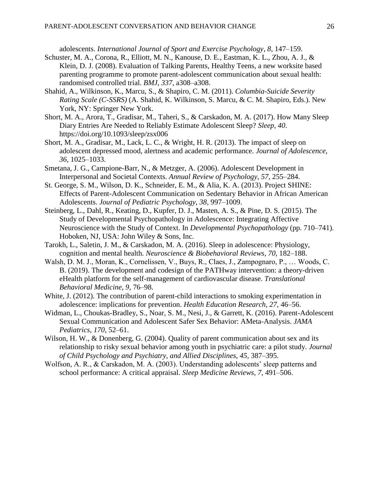adolescents. *International Journal of Sport and Exercise Psychology*, *8*, 147–159.

- Schuster, M. A., Corona, R., Elliott, M. N., Kanouse, D. E., Eastman, K. L., Zhou, A. J., & Klein, D. J. (2008). Evaluation of Talking Parents, Healthy Teens, a new worksite based parenting programme to promote parent-adolescent communication about sexual health: randomised controlled trial. *BMJ*, *337*, a308–a308.
- Shahid, A., Wilkinson, K., Marcu, S., & Shapiro, C. M. (2011). *Columbia-Suicide Severity Rating Scale (C-SSRS)* (A. Shahid, K. Wilkinson, S. Marcu, & C. M. Shapiro, Eds.). New York, NY: Springer New York.
- Short, M. A., Arora, T., Gradisar, M., Taheri, S., & Carskadon, M. A. (2017). How Many Sleep Diary Entries Are Needed to Reliably Estimate Adolescent Sleep? *Sleep*, *40*. https://doi.org/10.1093/sleep/zsx006
- Short, M. A., Gradisar, M., Lack, L. C., & Wright, H. R. (2013). The impact of sleep on adolescent depressed mood, alertness and academic performance. *Journal of Adolescence*, *36*, 1025–1033.
- Smetana, J. G., Campione-Barr, N., & Metzger, A. (2006). Adolescent Development in Interpersonal and Societal Contexts. *Annual Review of Psychology*, *57*, 255–284.
- St. George, S. M., Wilson, D. K., Schneider, E. M., & Alia, K. A. (2013). Project SHINE: Effects of Parent-Adolescent Communication on Sedentary Behavior in African American Adolescents. *Journal of Pediatric Psychology*, *38*, 997–1009.
- Steinberg, L., Dahl, R., Keating, D., Kupfer, D. J., Masten, A. S., & Pine, D. S. (2015). The Study of Developmental Psychopathology in Adolescence: Integrating Affective Neuroscience with the Study of Context. In *Developmental Psychopathology* (pp. 710–741). Hoboken, NJ, USA: John Wiley & Sons, Inc.
- Tarokh, L., Saletin, J. M., & Carskadon, M. A. (2016). Sleep in adolescence: Physiology, cognition and mental health. *Neuroscience & Biobehavioral Reviews*, *70*, 182–188.
- Walsh, D. M. J., Moran, K., Cornelissen, V., Buys, R., Claes, J., Zampognaro, P., … Woods, C. B. (2019). The development and codesign of the PATHway intervention: a theory-driven eHealth platform for the self-management of cardiovascular disease. *Translational Behavioral Medicine*, *9*, 76–98.
- White, J. (2012). The contribution of parent-child interactions to smoking experimentation in adolescence: implications for prevention. *Health Education Research*, *27*, 46–56.
- Widman, L., Choukas-Bradley, S., Noar, S. M., Nesi, J., & Garrett, K. (2016). Parent-Adolescent Sexual Communication and Adolescent Safer Sex Behavior: AMeta-Analysis. *JAMA Pediatrics*, *170*, 52–61.
- Wilson, H. W., & Donenberg, G. (2004). Quality of parent communication about sex and its relationship to risky sexual behavior among youth in psychiatric care: a pilot study. *Journal of Child Psychology and Psychiatry, and Allied Disciplines*, *45*, 387–395.
- Wolfson, A. R., & Carskadon, M. A. (2003). Understanding adolescents' sleep patterns and school performance: A critical appraisal. *Sleep Medicine Reviews*, *7*, 491–506.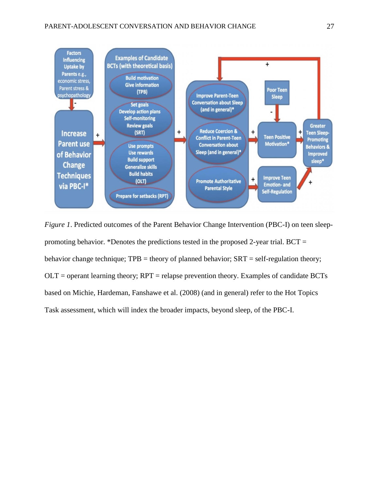

*Figure 1*. Predicted outcomes of the Parent Behavior Change Intervention (PBC-I) on teen sleeppromoting behavior. \*Denotes the predictions tested in the proposed 2-year trial.  $BCT =$ behavior change technique;  $TPB =$  theory of planned behavior;  $SRT =$  self-regulation theory;  $\text{OLT}$  = operant learning theory;  $\text{RPT}$  = relapse prevention theory. Examples of candidate BCTs based on Michie, Hardeman, Fanshawe et al. (2008) (and in general) refer to the Hot Topics Task assessment, which will index the broader impacts, beyond sleep, of the PBC-I.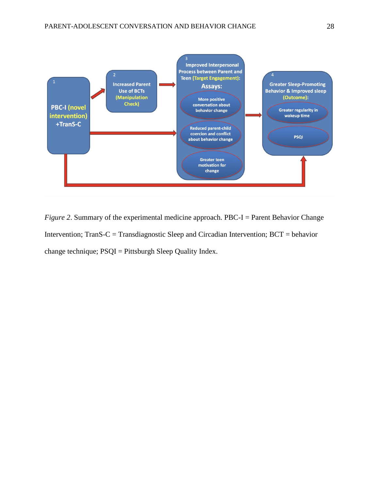

*Figure 2.* Summary of the experimental medicine approach. PBC-I = Parent Behavior Change Intervention; TranS-C = Transdiagnostic Sleep and Circadian Intervention; BCT = behavior change technique; PSQI = Pittsburgh Sleep Quality Index.